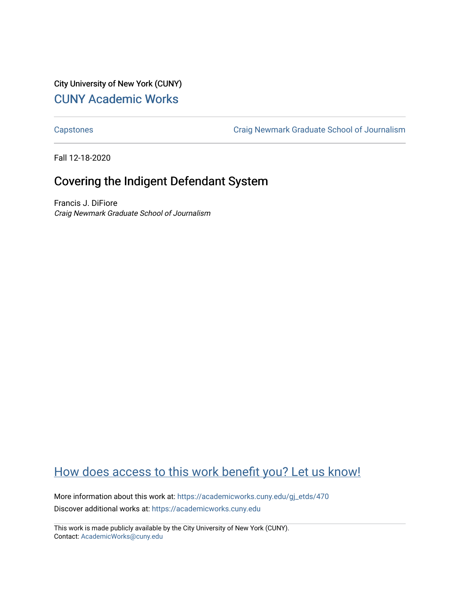City University of New York (CUNY) [CUNY Academic Works](https://academicworks.cuny.edu/) 

[Capstones](https://academicworks.cuny.edu/gj_etds) [Craig Newmark Graduate School of Journalism](https://academicworks.cuny.edu/gj) 

Fall 12-18-2020

# Covering the Indigent Defendant System

Francis J. DiFiore Craig Newmark Graduate School of Journalism

# [How does access to this work benefit you? Let us know!](http://ols.cuny.edu/academicworks/?ref=https://academicworks.cuny.edu/gj_etds/470)

More information about this work at: [https://academicworks.cuny.edu/gj\\_etds/470](https://academicworks.cuny.edu/gj_etds/470)  Discover additional works at: [https://academicworks.cuny.edu](https://academicworks.cuny.edu/?)

This work is made publicly available by the City University of New York (CUNY). Contact: [AcademicWorks@cuny.edu](mailto:AcademicWorks@cuny.edu)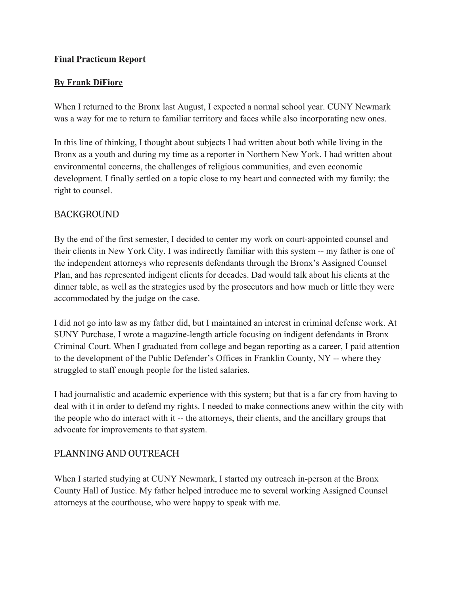#### **Final Practicum Report**

#### **By Frank DiFiore**

When I returned to the Bronx last August, I expected a normal school year. CUNY Newmark was a way for me to return to familiar territory and faces while also incorporating new ones.

In this line of thinking, I thought about subjects I had written about both while living in the Bronx as a youth and during my time as a reporter in Northern New York. I had written about environmental concerns, the challenges of religious communities, and even economic development. I finally settled on a topic close to my heart and connected with my family: the right to counsel.

### BACKGROUND

By the end of the first semester, I decided to center my work on court-appointed counsel and their clients in New York City. I was indirectly familiar with this system -- my father is one of the independent attorneys who represents defendants through the Bronx's Assigned Counsel Plan, and has represented indigent clients for decades. Dad would talk about his clients at the dinner table, as well as the strategies used by the prosecutors and how much or little they were accommodated by the judge on the case.

I did not go into law as my father did, but I maintained an interest in criminal defense work. At SUNY Purchase, I wrote a magazine-length article focusing on indigent defendants in Bronx Criminal Court. When I graduated from college and began reporting as a career, I paid attention to the development of the Public Defender's Offices in Franklin County, NY -- where they struggled to staff enough people for the listed salaries.

I had journalistic and academic experience with this system; but that is a far cry from having to deal with it in order to defend my rights. I needed to make connections anew within the city with the people who do interact with it -- the attorneys, their clients, and the ancillary groups that advocate for improvements to that system.

## PLANNING AND OUTREACH

When I started studying at CUNY Newmark, I started my outreach in-person at the Bronx County Hall of Justice. My father helped introduce me to several working Assigned Counsel attorneys at the courthouse, who were happy to speak with me.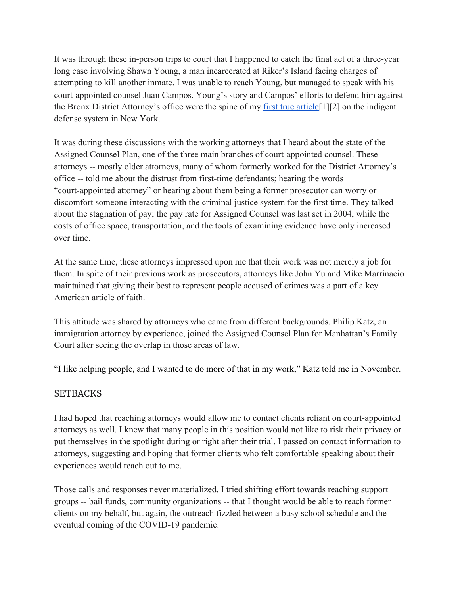It was through these in-person trips to court that I happened to catch the final act of a three-year long case involving Shawn Young, a man incarcerated at Riker's Island facing charges of attempting to kill another inmate. I was unable to reach Young, but managed to speak with his court-appointed counsel Juan Campos. Young's story and Campos' efforts to defend him against the Bronx District Attorney's office were the spine of my [first true article](https://public-defense-informer.glitch.me/campos-young-trial.html)<sup>[1]</sup>[2] on the indigent defense system in New York.

It was during these discussions with the working attorneys that I heard about the state of the Assigned Counsel Plan, one of the three main branches of court-appointed counsel. These attorneys -- mostly older attorneys, many of whom formerly worked for the District Attorney's office -- told me about the distrust from first-time defendants; hearing the words "court-appointed attorney" or hearing about them being a former prosecutor can worry or discomfort someone interacting with the criminal justice system for the first time. They talked about the stagnation of pay; the pay rate for Assigned Counsel was last set in 2004, while the costs of office space, transportation, and the tools of examining evidence have only increased over time.

At the same time, these attorneys impressed upon me that their work was not merely a job for them. In spite of their previous work as prosecutors, attorneys like John Yu and Mike Marrinacio maintained that giving their best to represent people accused of crimes was a part of a key American article of faith.

This attitude was shared by attorneys who came from different backgrounds. Philip Katz, an immigration attorney by experience, joined the Assigned Counsel Plan for Manhattan's Family Court after seeing the overlap in those areas of law.

"I like helping people, and I wanted to do more of that in my work," Katz told me in November.

### **SETBACKS**

I had hoped that reaching attorneys would allow me to contact clients reliant on court-appointed attorneys as well. I knew that many people in this position would not like to risk their privacy or put themselves in the spotlight during or right after their trial. I passed on contact information to attorneys, suggesting and hoping that former clients who felt comfortable speaking about their experiences would reach out to me.

Those calls and responses never materialized. I tried shifting effort towards reaching support groups -- bail funds, community organizations -- that I thought would be able to reach former clients on my behalf, but again, the outreach fizzled between a busy school schedule and the eventual coming of the COVID-19 pandemic.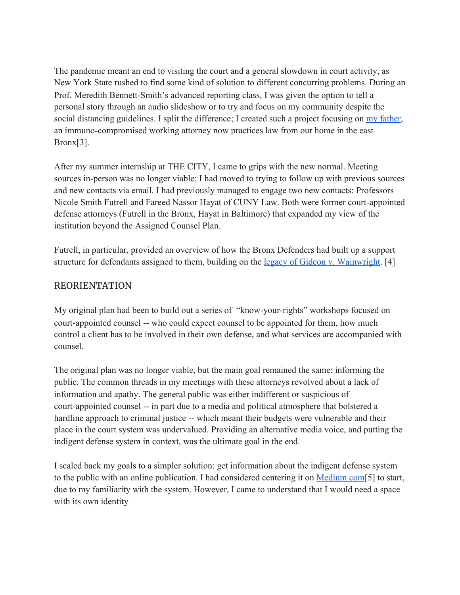The pandemic meant an end to visiting the court and a general slowdown in court activity, as New York State rushed to find some kind of solution to different concurring problems. During an Prof. Meredith Bennett-Smith's advanced reporting class, I was given the option to tell a personal story through an audio slideshow or to try and focus on my community despite the social distancing guidelines. I split the difference; I created such a project focusing on  $\frac{my}{father}$ , an immuno-compromised working attorney now practices law from our home in the east Bronx[3].

After my summer internship at THE CITY, I came to grips with the new normal. Meeting sources in-person was no longer viable; I had moved to trying to follow up with previous sources and new contacts via email. I had previously managed to engage two new contacts: Professors Nicole Smith Futrell and Fareed Nassor Hayat of CUNY Law. Both were former court-appointed defense attorneys (Futrell in the Bronx, Hayat in Baltimore) that expanded my view of the institution beyond the Assigned Counsel Plan.

Futrell, in particular, provided an overview of how the Bronx Defenders had built up a support structure for defendants assigned to them, building on the [legacy of Gideon v. Wainwright](https://public-defense-informer.glitch.me/history-18b.html). [4]

### REORIENTATION

My original plan had been to build out a series of "know-your-rights" workshops focused on court-appointed counsel -- who could expect counsel to be appointed for them, how much control a client has to be involved in their own defense, and what services are accompanied with counsel.

The original plan was no longer viable, but the main goal remained the same: informing the public. The common threads in my meetings with these attorneys revolved about a lack of information and apathy. The general public was either indifferent or suspicious of court-appointed counsel -- in part due to a media and political atmosphere that bolstered a hardline approach to criminal justice -- which meant their budgets were vulnerable and their place in the court system was undervalued. Providing an alternative media voice, and putting the indigent defense system in context, was the ultimate goal in the end.

I scaled back my goals to a simpler solution: get information about the indigent defense system to the public with an online publication. I had considered centering it on [Medium.com](https://medium.com/)[5] to start, due to my familiarity with the system. However, I came to understand that I would need a space with its own identity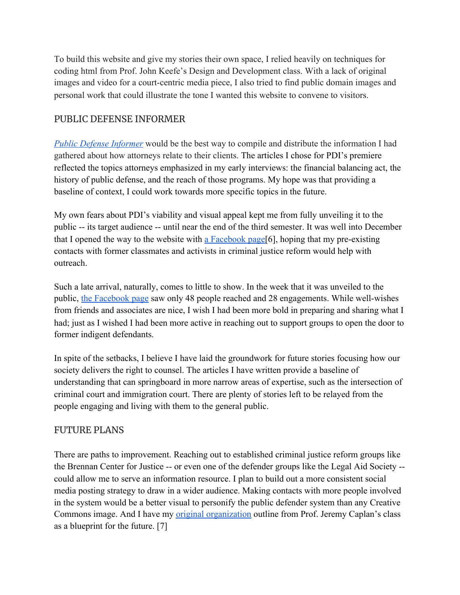To build this website and give my stories their own space, I relied heavily on techniques for coding html from Prof. John Keefe's Design and Development class. With a lack of original images and video for a court-centric media piece, I also tried to find public domain images and personal work that could illustrate the tone I wanted this website to convene to visitors.

## PUBLIC DEFENSE INFORMER

*[Public Defense Informer](https://public-defense-informer.glitch.me/)* would be the best way to compile and distribute the information I had gathered about how attorneys relate to their clients. The articles I chose for PDI's premiere reflected the topics attorneys emphasized in my early interviews: the financial balancing act, the history of public defense, and the reach of those programs. My hope was that providing a baseline of context, I could work towards more specific topics in the future.

My own fears about PDI's viability and visual appeal kept me from fully unveiling it to the public -- its target audience -- until near the end of the third semester. It was well into December that I opened the way to the website with a Facebook page [6], hoping that my pre-existing contacts with former classmates and activists in criminal justice reform would help with outreach.

Such a late arrival, naturally, comes to little to show. In the week that it was unveiled to the public, [the Facebook page](https://drive.google.com/file/d/1qISpc3LLJRC4e81OmBko7dUikFO0Tvr2/view?usp=sharing) saw only 48 people reached and 28 engagements. While well-wishes from friends and associates are nice, I wish I had been more bold in preparing and sharing what I had; just as I wished I had been more active in reaching out to support groups to open the door to former indigent defendants.

In spite of the setbacks, I believe I have laid the groundwork for future stories focusing how our society delivers the right to counsel. The articles I have written provide a baseline of understanding that can springboard in more narrow areas of expertise, such as the intersection of criminal court and immigration court. There are plenty of stories left to be relayed from the people engaging and living with them to the general public.

## FUTURE PLANS

There are paths to improvement. Reaching out to established criminal justice reform groups like the Brennan Center for Justice -- or even one of the defender groups like the Legal Aid Society - could allow me to serve an information resource. I plan to build out a more consistent social media posting strategy to draw in a wider audience. Making contacts with more people involved in the system would be a better visual to personify the public defender system than any Creative Commons image. And I have my [original organization](https://docs.google.com/document/d/1Oflq9mwwJIvdFpbSqumQRsgywEJVK0eL6rEitavZktM/edit?usp=sharing) outline from Prof. Jeremy Caplan's class as a blueprint for the future. [7]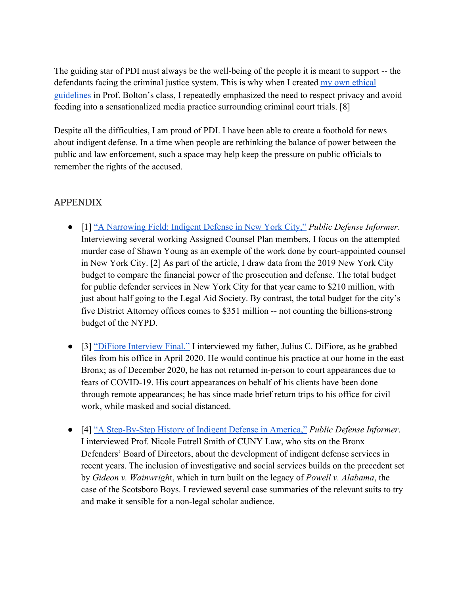The guiding star of PDI must always be the well-being of the people it is meant to support -- the defendants facing the criminal justice system. This is why when I created [my own ethical](https://docs.google.com/document/d/1wcKxpAzcSPJIe7GP9-eK73CV9Zy2FPpZkl5ew6pwOyM/edit?usp=sharing) [guidelines](https://docs.google.com/document/d/1wcKxpAzcSPJIe7GP9-eK73CV9Zy2FPpZkl5ew6pwOyM/edit?usp=sharing) in Prof. Bolton's class, I repeatedly emphasized the need to respect privacy and avoid feeding into a sensationalized media practice surrounding criminal court trials. [8]

Despite all the difficulties, I am proud of PDI. I have been able to create a foothold for news about indigent defense. In a time when people are rethinking the balance of power between the public and law enforcement, such a space may help keep the pressure on public officials to remember the rights of the accused.

## APPENDIX

- [1] ["A Narrowing Field: Indigent Defense in New York City,"](https://public-defense-informer.glitch.me/campos-young-trial.html) *Public Defense Informer*. Interviewing several working Assigned Counsel Plan members, I focus on the attempted murder case of Shawn Young as an exemple of the work done by court-appointed counsel in New York City. [2] As part of the article, I draw data from the 2019 New York City budget to compare the financial power of the prosecution and defense. The total budget for public defender services in New York City for that year came to \$210 million, with just about half going to the Legal Aid Society. By contrast, the total budget for the city's five District Attorney offices comes to \$351 million -- not counting the billions-strong budget of the NYPD.
- [3] ["DiFiore Interview Final."](https://drive.google.com/file/d/1pcI36dKDrGbpf8zD5OHK17Hqg-3qUO9I/view?usp=sharing) I interviewed my father, Julius C. DiFiore, as he grabbed files from his office in April 2020. He would continue his practice at our home in the east Bronx; as of December 2020, he has not returned in-person to court appearances due to fears of COVID-19. His court appearances on behalf of his clients have been done through remote appearances; he has since made brief return trips to his office for civil work, while masked and social distanced.
- [4] ["A Step-By-Step History of Indigent Defense in America,"](https://public-defense-informer.glitch.me/history-18b.html) *Public Defense Informer*. I interviewed Prof. Nicole Futrell Smith of CUNY Law, who sits on the Bronx Defenders' Board of Directors, about the development of indigent defense services in recent years. The inclusion of investigative and social services builds on the precedent set by *Gideon v. Wainwrigh*t, which in turn built on the legacy of *Powell v. Alabama*, the case of the Scotsboro Boys. I reviewed several case summaries of the relevant suits to try and make it sensible for a non-legal scholar audience.